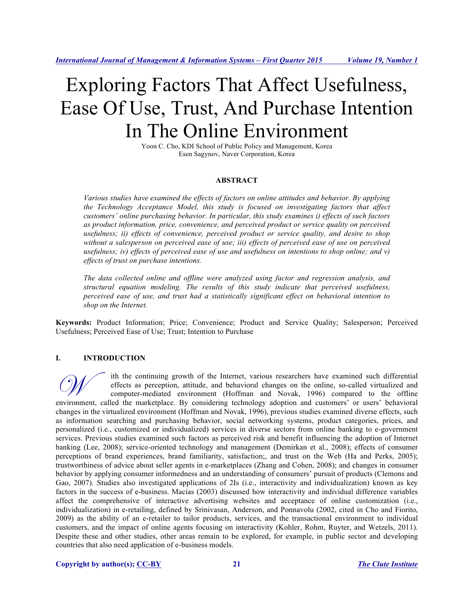# Exploring Factors That Affect Usefulness, Ease Of Use, Trust, And Purchase Intention In The Online Environment

Yoon C. Cho, KDI School of Public Policy and Management, Korea Esen Sagynov, Naver Corporation, Korea

#### **ABSTRACT**

*Various studies have examined the effects of factors on online attitudes and behavior. By applying the Technology Acceptance Model, this study is focused on investigating factors that affect customers' online purchasing behavior. In particular, this study examines i) effects of such factors as product information, price, convenience, and perceived product or service quality on perceived usefulness; ii) effects of convenience, perceived product or service quality, and desire to shop without a salesperson on perceived ease of use; iii) effects of perceived ease of use on perceived usefulness; iv) effects of perceived ease of use and usefulness on intentions to shop online; and v) effects of trust on purchase intentions.* 

*The data collected online and offline were analyzed using factor and regression analysis, and structural equation modeling. The results of this study indicate that perceived usefulness, perceived ease of use, and trust had a statistically significant effect on behavioral intention to shop on the Internet.*

**Keywords:** Product Information; Price; Convenience; Product and Service Quality; Salesperson; Perceived Usefulness; Perceived Ease of Use; Trust; Intention to Purchase

#### **I. INTRODUCTION**

ith the continuing growth of the Internet, various researchers have examined such differential effects as perception, attitude, and behavioral changes on the online, so-called virtualized and computer-mediated environment (Hoffman and Novak, 1996) compared to the offline It the continuing growth of the Internet, various researchers have examined such differential<br>
effects as perception, attitude, and behavioral changes on the online, so-called virtualized and<br>
computer-mediated environment changes in the virtualized environment (Hoffman and Novak, 1996), previous studies examined diverse effects, such as information searching and purchasing behavior, social networking systems, product categories, prices, and personalized (i.e., customized or individualized) services in diverse sectors from online banking to e-government services. Previous studies examined such factors as perceived risk and benefit influencing the adoption of Internet banking (Lee, 2008); service-oriented technology and management (Demirkan et al., 2008); effects of consumer perceptions of brand experiences, brand familiarity, satisfaction;, and trust on the Web (Ha and Perks, 2005); trustworthiness of advice about seller agents in e-marketplaces (Zhang and Cohen, 2008); and changes in consumer behavior by applying consumer informedness and an understanding of consumers' pursuit of products (Clemons and Gao, 2007). Studies also investigated applications of 2Is (i.e., interactivity and individualization) known as key factors in the success of e-business. Macias (2003) discussed how interactivity and individual difference variables affect the comprehensive of interactive advertising websites and acceptance of online customization (i.e., individualization) in e-retailing, defined by Srinivasan, Anderson, and Ponnavolu (2002, cited in Cho and Fiorito, 2009) as the ability of an e-retailer to tailor products, services, and the transactional environment to individual customers, and the impact of online agents focusing on interactivity (Kohler, Rohm, Ruyter, and Wetzels, 2011). Despite these and other studies, other areas remain to be explored, for example, in public sector and developing countries that also need application of e-business models.

**Copyright by author(s); CC-BY 21** *The Clute Institute*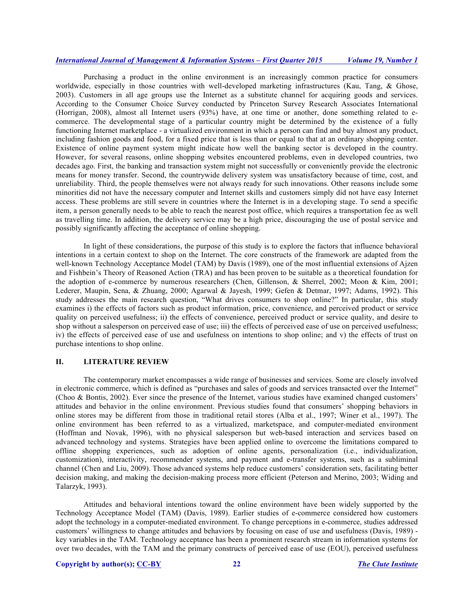Purchasing a product in the online environment is an increasingly common practice for consumers worldwide, especially in those countries with well-developed marketing infrastructures (Kau, Tang, & Ghose, 2003). Customers in all age groups use the Internet as a substitute channel for acquiring goods and services. According to the Consumer Choice Survey conducted by Princeton Survey Research Associates International (Horrigan, 2008), almost all Internet users (93%) have, at one time or another, done something related to ecommerce. The developmental stage of a particular country might be determined by the existence of a fully functioning Internet marketplace - a virtualized environment in which a person can find and buy almost any product, including fashion goods and food, for a fixed price that is less than or equal to that at an ordinary shopping center. Existence of online payment system might indicate how well the banking sector is developed in the country. However, for several reasons, online shopping websites encountered problems, even in developed countries, two decades ago. First, the banking and transaction system might not successfully or conveniently provide the electronic means for money transfer. Second, the countrywide delivery system was unsatisfactory because of time, cost, and unreliability. Third, the people themselves were not always ready for such innovations. Other reasons include some minorities did not have the necessary computer and Internet skills and customers simply did not have easy Internet access. These problems are still severe in countries where the Internet is in a developing stage. To send a specific item, a person generally needs to be able to reach the nearest post office, which requires a transportation fee as well as travelling time. In addition, the delivery service may be a high price, discouraging the use of postal service and possibly significantly affecting the acceptance of online shopping.

In light of these considerations, the purpose of this study is to explore the factors that influence behavioral intentions in a certain context to shop on the Internet. The core constructs of the framework are adapted from the well-known Technology Acceptance Model (TAM) by Davis (1989), one of the most influential extensions of Ajzen and Fishbein's Theory of Reasoned Action (TRA) and has been proven to be suitable as a theoretical foundation for the adoption of e-commerce by numerous researchers (Chen, Gillenson, & Sherrel, 2002; Moon & Kim, 2001; Lederer, Maupin, Sena, & Zhuang, 2000; Agarwal & Jayesh, 1999; Gefen & Detmar, 1997; Adams, 1992). This study addresses the main research question, "What drives consumers to shop online?" In particular, this study examines i) the effects of factors such as product information, price, convenience, and perceived product or service quality on perceived usefulness; ii) the effects of convenience, perceived product or service quality, and desire to shop without a salesperson on perceived ease of use; iii) the effects of perceived ease of use on perceived usefulness; iv) the effects of perceived ease of use and usefulness on intentions to shop online; and v) the effects of trust on purchase intentions to shop online.

#### **II. LITERATURE REVIEW**

The contemporary market encompasses a wide range of businesses and services. Some are closely involved in electronic commerce, which is defined as "purchases and sales of goods and services transacted over the Internet" (Choo & Bontis, 2002). Ever since the presence of the Internet, various studies have examined changed customers' attitudes and behavior in the online environment. Previous studies found that consumers' shopping behaviors in online stores may be different from those in traditional retail stores (Alba et al., 1997; Winer et al., 1997). The online environment has been referred to as a virtualized, marketspace, and computer-mediated environment (Hoffman and Novak, 1996), with no physical salesperson but web-based interaction and services based on advanced technology and systems. Strategies have been applied online to overcome the limitations compared to offline shopping experiences, such as adoption of online agents, personalization (i.e., individualization, customization), interactivity, recommender systems, and payment and e-transfer systems, such as a subliminal channel (Chen and Liu, 2009). Those advanced systems help reduce customers' consideration sets, facilitating better decision making, and making the decision-making process more efficient (Peterson and Merino, 2003; Widing and Talarzyk, 1993).

Attitudes and behavioral intentions toward the online environment have been widely supported by the Technology Acceptance Model (TAM) (Davis, 1989). Earlier studies of e-commerce considered how customers adopt the technology in a computer-mediated environment. To change perceptions in e-commerce, studies addressed customers' willingness to change attitudes and behaviors by focusing on ease of use and usefulness (Davis, 1989) key variables in the TAM. Technology acceptance has been a prominent research stream in information systems for over two decades, with the TAM and the primary constructs of perceived ease of use (EOU), perceived usefulness

#### **Copyright by author(s); CC-BY 22** *The Clute Institute*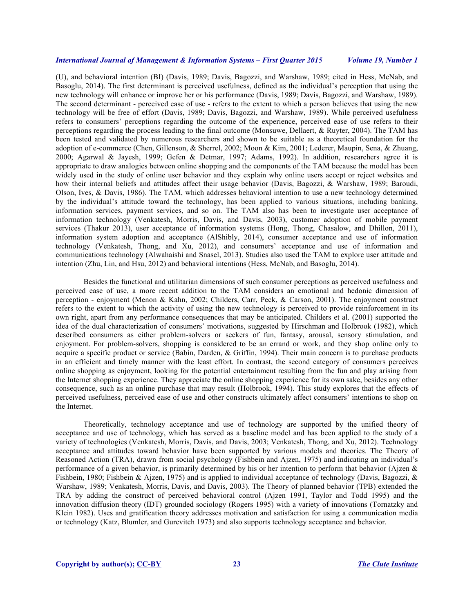(U), and behavioral intention (BI) (Davis, 1989; Davis, Bagozzi, and Warshaw, 1989; cited in Hess, McNab, and Basoglu, 2014). The first determinant is perceived usefulness, defined as the individual's perception that using the new technology will enhance or improve her or his performance (Davis, 1989; Davis, Bagozzi, and Warshaw, 1989). The second determinant - perceived ease of use - refers to the extent to which a person believes that using the new technology will be free of effort (Davis, 1989; Davis, Bagozzi, and Warshaw, 1989). While perceived usefulness refers to consumers' perceptions regarding the outcome of the experience, perceived ease of use refers to their perceptions regarding the process leading to the final outcome (Monsuwe, Dellaert, & Ruyter, 2004). The TAM has been tested and validated by numerous researchers and shown to be suitable as a theoretical foundation for the adoption of e-commerce (Chen, Gillenson, & Sherrel, 2002; Moon & Kim, 2001; Lederer, Maupin, Sena, & Zhuang, 2000; Agarwal & Jayesh, 1999; Gefen & Detmar, 1997; Adams, 1992). In addition, researchers agree it is appropriate to draw analogies between online shopping and the components of the TAM because the model has been widely used in the study of online user behavior and they explain why online users accept or reject websites and how their internal beliefs and attitudes affect their usage behavior (Davis, Bagozzi, & Warshaw, 1989; Baroudi, Olson, Ives, & Davis, 1986). The TAM, which addresses behavioral intention to use a new technology determined by the individual's attitude toward the technology, has been applied to various situations, including banking, information services, payment services, and so on. The TAM also has been to investigate user acceptance of information technology (Venkatesh, Morris, Davis, and Davis, 2003), customer adoption of mobile payment services (Thakur 2013), user acceptance of information systems (Hong, Thong, Chasalow, and Dhillon, 2011), information system adoption and acceptance (AlShibly, 2014), consumer acceptance and use of information technology (Venkatesh, Thong, and Xu, 2012), and consumers' acceptance and use of information and communications technology (Alwahaishi and Snasel, 2013). Studies also used the TAM to explore user attitude and intention (Zhu, Lin, and Hsu, 2012) and behavioral intentions (Hess, McNab, and Basoglu, 2014).

Besides the functional and utilitarian dimensions of such consumer perceptions as perceived usefulness and perceived ease of use, a more recent addition to the TAM considers an emotional and hedonic dimension of perception - enjoyment (Menon & Kahn, 2002; Childers, Carr, Peck, & Carson, 2001). The enjoyment construct refers to the extent to which the activity of using the new technology is perceived to provide reinforcement in its own right, apart from any performance consequences that may be anticipated. Childers et al. (2001) supported the idea of the dual characterization of consumers' motivations, suggested by Hirschman and Holbrook (1982), which described consumers as either problem-solvers or seekers of fun, fantasy, arousal, sensory stimulation, and enjoyment. For problem-solvers, shopping is considered to be an errand or work, and they shop online only to acquire a specific product or service (Babin, Darden, & Griffin, 1994). Their main concern is to purchase products in an efficient and timely manner with the least effort. In contrast, the second category of consumers perceives online shopping as enjoyment, looking for the potential entertainment resulting from the fun and play arising from the Internet shopping experience. They appreciate the online shopping experience for its own sake, besides any other consequence, such as an online purchase that may result (Holbrook, 1994). This study explores that the effects of perceived usefulness, perceived ease of use and other constructs ultimately affect consumers' intentions to shop on the Internet.

Theoretically, technology acceptance and use of technology are supported by the unified theory of acceptance and use of technology, which has served as a baseline model and has been applied to the study of a variety of technologies (Venkatesh, Morris, Davis, and Davis, 2003; Venkatesh, Thong, and Xu, 2012). Technology acceptance and attitudes toward behavior have been supported by various models and theories. The Theory of Reasoned Action (TRA), drawn from social psychology (Fishbein and Ajzen, 1975) and indicating an individual's performance of a given behavior, is primarily determined by his or her intention to perform that behavior (Ajzen & Fishbein, 1980; Fishbein & Ajzen, 1975) and is applied to individual acceptance of technology (Davis, Bagozzi, & Warshaw, 1989; Venkatesh, Morris, Davis, and Davis, 2003). The Theory of planned behavior (TPB) extended the TRA by adding the construct of perceived behavioral control (Ajzen 1991, Taylor and Todd 1995) and the innovation diffusion theory (IDT) grounded sociology (Rogers 1995) with a variety of innovations (Tornatzky and Klein 1982). Uses and gratification theory addresses motivation and satisfaction for using a communication media or technology (Katz, Blumler, and Gurevitch 1973) and also supports technology acceptance and behavior.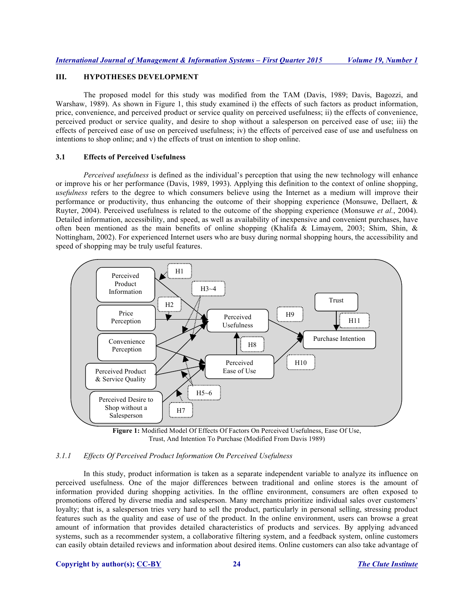# **III. HYPOTHESES DEVELOPMENT**

The proposed model for this study was modified from the TAM (Davis, 1989; Davis, Bagozzi, and Warshaw, 1989). As shown in Figure 1, this study examined i) the effects of such factors as product information, price, convenience, and perceived product or service quality on perceived usefulness; ii) the effects of convenience, perceived product or service quality, and desire to shop without a salesperson on perceived ease of use; iii) the effects of perceived ease of use on perceived usefulness; iv) the effects of perceived ease of use and usefulness on intentions to shop online; and v) the effects of trust on intention to shop online.

## **3.1 Effects of Perceived Usefulness**

*Perceived usefulness* is defined as the individual's perception that using the new technology will enhance or improve his or her performance (Davis, 1989, 1993). Applying this definition to the context of online shopping, *usefulness* refers to the degree to which consumers believe using the Internet as a medium will improve their performance or productivity, thus enhancing the outcome of their shopping experience (Monsuwe, Dellaert, & Ruyter, 2004). Perceived usefulness is related to the outcome of the shopping experience (Monsuwe *et al.*, 2004). Detailed information, accessibility, and speed, as well as availability of inexpensive and convenient purchases, have often been mentioned as the main benefits of online shopping (Khalifa & Limayem, 2003; Shim, Shin, & Nottingham, 2002). For experienced Internet users who are busy during normal shopping hours, the accessibility and speed of shopping may be truly useful features.



**Figure 1:** Modified Model Of Effects Of Factors On Perceived Usefulness, Ease Of Use, Trust, And Intention To Purchase (Modified From Davis 1989)

## *3.1.1 Effects Of Perceived Product Information On Perceived Usefulness*

In this study, product information is taken as a separate independent variable to analyze its influence on perceived usefulness. One of the major differences between traditional and online stores is the amount of information provided during shopping activities. In the offline environment, consumers are often exposed to promotions offered by diverse media and salesperson. Many merchants prioritize individual sales over customers' loyalty; that is, a salesperson tries very hard to sell the product, particularly in personal selling, stressing product features such as the quality and ease of use of the product. In the online environment, users can browse a great amount of information that provides detailed characteristics of products and services. By applying advanced systems, such as a recommender system, a collaborative filtering system, and a feedback system, online customers can easily obtain detailed reviews and information about desired items. Online customers can also take advantage of

#### **Copyright by author(s); CC-BY 24** *The Clute Institute*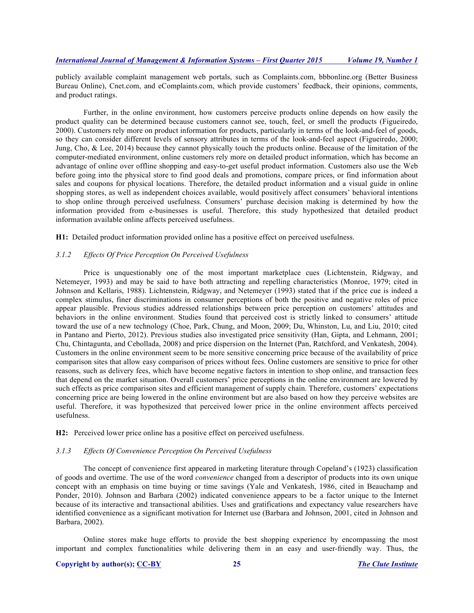publicly available complaint management web portals, such as Complaints.com, bbbonline.org (Better Business Bureau Online), Cnet.com, and eComplaints.com, which provide customers' feedback, their opinions, comments, and product ratings.

Further, in the online environment, how customers perceive products online depends on how easily the product quality can be determined because customers cannot see, touch, feel, or smell the products (Figueiredo, 2000). Customers rely more on product information for products, particularly in terms of the look-and-feel of goods, so they can consider different levels of sensory attributes in terms of the look-and-feel aspect (Figueiredo, 2000; Jung, Cho, & Lee, 2014) because they cannot physically touch the products online. Because of the limitation of the computer-mediated environment, online customers rely more on detailed product information, which has become an advantage of online over offline shopping and easy-to-get useful product information. Customers also use the Web before going into the physical store to find good deals and promotions, compare prices, or find information about sales and coupons for physical locations. Therefore, the detailed product information and a visual guide in online shopping stores, as well as independent choices available, would positively affect consumers' behavioral intentions to shop online through perceived usefulness. Consumers' purchase decision making is determined by how the information provided from e-businesses is useful. Therefore, this study hypothesized that detailed product information available online affects perceived usefulness.

**H1:** Detailed product information provided online has a positive effect on perceived usefulness.

#### *3.1.2 Effects Of Price Perception On Perceived Usefulness*

Price is unquestionably one of the most important marketplace cues (Lichtenstein, Ridgway, and Netemeyer, 1993) and may be said to have both attracting and repelling characteristics (Monroe, 1979; cited in Johnson and Kellaris, 1988). Lichtenstein, Ridgway, and Netemeyer (1993) stated that if the price cue is indeed a complex stimulus, finer discriminations in consumer perceptions of both the positive and negative roles of price appear plausible. Previous studies addressed relationships between price perception on customers' attitudes and behaviors in the online environment. Studies found that perceived cost is strictly linked to consumers' attitude toward the use of a new technology (Choe, Park, Chung, and Moon, 2009; Du, Whinston, Lu, and Liu, 2010; cited in Pantano and Pierto, 2012). Previous studies also investigated price sensitivity (Han, Gipta, and Lehmann, 2001; Chu, Chintagunta, and Cebollada, 2008) and price dispersion on the Internet (Pan, Ratchford, and Venkatesh, 2004). Customers in the online environment seem to be more sensitive concerning price because of the availability of price comparison sites that allow easy comparison of prices without fees. Online customers are sensitive to price for other reasons, such as delivery fees, which have become negative factors in intention to shop online, and transaction fees that depend on the market situation. Overall customers' price perceptions in the online environment are lowered by such effects as price comparison sites and efficient management of supply chain. Therefore, customers' expectations concerning price are being lowered in the online environment but are also based on how they perceive websites are useful. Therefore, it was hypothesized that perceived lower price in the online environment affects perceived usefulness.

**H2:** Perceived lower price online has a positive effect on perceived usefulness.

### *3.1.3 Effects Of Convenience Perception On Perceived Usefulness*

The concept of convenience first appeared in marketing literature through Copeland's (1923) classification of goods and overtime. The use of the word *convenience* changed from a descriptor of products into its own unique concept with an emphasis on time buying or time savings (Yale and Venkatesh, 1986, cited in Beauchamp and Ponder, 2010). Johnson and Barbara (2002) indicated convenience appears to be a factor unique to the Internet because of its interactive and transactional abilities. Uses and gratifications and expectancy value researchers have identified convenience as a significant motivation for Internet use (Barbara and Johnson, 2001, cited in Johnson and Barbara, 2002).

Online stores make huge efforts to provide the best shopping experience by encompassing the most important and complex functionalities while delivering them in an easy and user-friendly way. Thus, the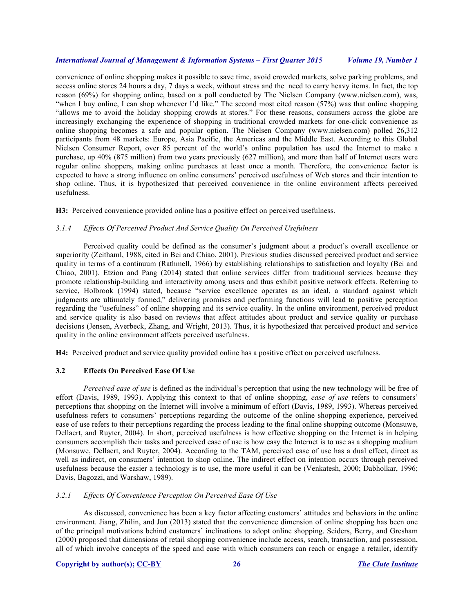convenience of online shopping makes it possible to save time, avoid crowded markets, solve parking problems, and access online stores 24 hours a day, 7 days a week, without stress and the need to carry heavy items. In fact, the top reason (69%) for shopping online, based on a poll conducted by The Nielsen Company (www.nielsen.com), was, "when I buy online, I can shop whenever I'd like." The second most cited reason (57%) was that online shopping "allows me to avoid the holiday shopping crowds at stores." For these reasons, consumers across the globe are increasingly exchanging the experience of shopping in traditional crowded markets for one-click convenience as online shopping becomes a safe and popular option. The Nielsen Company (www.nielsen.com) polled 26,312 participants from 48 markets: Europe, Asia Pacific, the Americas and the Middle East. According to this Global Nielsen Consumer Report, over 85 percent of the world's online population has used the Internet to make a purchase, up 40% (875 million) from two years previously (627 million), and more than half of Internet users were regular online shoppers, making online purchases at least once a month. Therefore, the convenience factor is expected to have a strong influence on online consumers' perceived usefulness of Web stores and their intention to shop online. Thus, it is hypothesized that perceived convenience in the online environment affects perceived usefulness.

**H3:** Perceived convenience provided online has a positive effect on perceived usefulness.

## *3.1.4 Effects Of Perceived Product And Service Quality On Perceived Usefulness*

Perceived quality could be defined as the consumer's judgment about a product's overall excellence or superiority (Zeithaml, 1988, cited in Bei and Chiao, 2001). Previous studies discussed perceived product and service quality in terms of a continuum (Rathmell, 1966) by establishing relationships to satisfaction and loyalty (Bei and Chiao, 2001). Etzion and Pang (2014) stated that online services differ from traditional services because they promote relationship-building and interactivity among users and thus exhibit positive network effects. Referring to service, Holbrook (1994) stated, because "service excellence operates as an ideal, a standard against which judgments are ultimately formed," delivering promises and performing functions will lead to positive perception regarding the "usefulness" of online shopping and its service quality. In the online environment, perceived product and service quality is also based on reviews that affect attitudes about product and service quality or purchase decisions (Jensen, Averbeck, Zhang, and Wright, 2013). Thus, it is hypothesized that perceived product and service quality in the online environment affects perceived usefulness.

**H4:** Perceived product and service quality provided online has a positive effect on perceived usefulness.

## **3.2 Effects On Perceived Ease Of Use**

*Perceived ease of use* is defined as the individual's perception that using the new technology will be free of effort (Davis, 1989, 1993). Applying this context to that of online shopping, *ease of use* refers to consumers' perceptions that shopping on the Internet will involve a minimum of effort (Davis, 1989, 1993). Whereas perceived usefulness refers to consumers' perceptions regarding the outcome of the online shopping experience, perceived ease of use refers to their perceptions regarding the process leading to the final online shopping outcome (Monsuwe, Dellaert, and Ruyter, 2004)*.* In short, perceived usefulness is how effective shopping on the Internet is in helping consumers accomplish their tasks and perceived ease of use is how easy the Internet is to use as a shopping medium (Monsuwe, Dellaert, and Ruyter, 2004). According to the TAM, perceived ease of use has a dual effect, direct as well as indirect, on consumers' intention to shop online. The indirect effect on intention occurs through perceived usefulness because the easier a technology is to use, the more useful it can be (Venkatesh, 2000; Dabholkar, 1996; Davis, Bagozzi, and Warshaw, 1989).

## *3.2.1 Effects Of Convenience Perception On Perceived Ease Of Use*

As discussed, convenience has been a key factor affecting customers' attitudes and behaviors in the online environment. Jiang, Zhilin, and Jun (2013) stated that the convenience dimension of online shopping has been one of the principal motivations behind customers' inclinations to adopt online shopping. Seiders, Berry, and Gresham (2000) proposed that dimensions of retail shopping convenience include access, search, transaction, and possession, all of which involve concepts of the speed and ease with which consumers can reach or engage a retailer, identify

#### **Copyright by author(s); CC-BY 26** *The Clute Institute*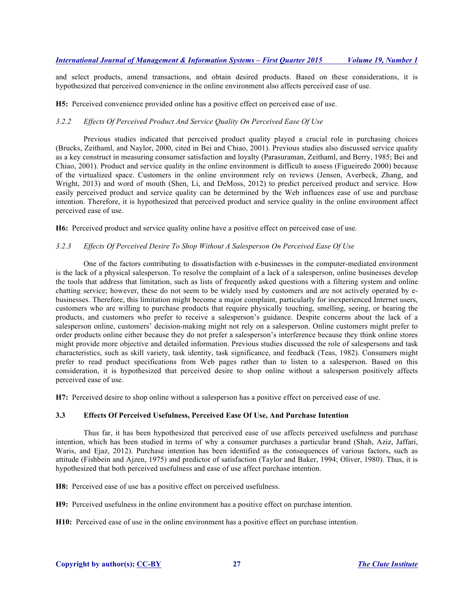and select products, amend transactions, and obtain desired products. Based on these considerations, it is hypothesized that perceived convenience in the online environment also affects perceived ease of use.

**H5:** Perceived convenience provided online has a positive effect on perceived ease of use.

## *3.2.2 Effects Of Perceived Product And Service Quality On Perceived Ease Of Use*

Previous studies indicated that perceived product quality played a crucial role in purchasing choices (Brucks, Zeithaml, and Naylor, 2000, cited in Bei and Chiao, 2001). Previous studies also discussed service quality as a key construct in measuring consumer satisfaction and loyalty (Parasuraman, Zeithaml, and Berry, 1985; Bei and Chiao, 2001). Product and service quality in the online environment is difficult to assess (Figueiredo 2000) because of the virtualized space. Customers in the online environment rely on reviews (Jensen, Averbeck, Zhang, and Wright, 2013) and word of mouth (Shen, Li, and DeMoss, 2012) to predict perceived product and service. How easily perceived product and service quality can be determined by the Web influences ease of use and purchase intention. Therefore, it is hypothesized that perceived product and service quality in the online environment affect perceived ease of use.

**H6:** Perceived product and service quality online have a positive effect on perceived ease of use.

## *3.2.3 Effects Of Perceived Desire To Shop Without A Salesperson On Perceived Ease Of Use*

One of the factors contributing to dissatisfaction with e-businesses in the computer-mediated environment is the lack of a physical salesperson. To resolve the complaint of a lack of a salesperson, online businesses develop the tools that address that limitation, such as lists of frequently asked questions with a filtering system and online chatting service; however, these do not seem to be widely used by customers and are not actively operated by ebusinesses. Therefore, this limitation might become a major complaint, particularly for inexperienced Internet users, customers who are willing to purchase products that require physically touching, smelling, seeing, or hearing the products, and customers who prefer to receive a salesperson's guidance. Despite concerns about the lack of a salesperson online, customers' decision-making might not rely on a salesperson. Online customers might prefer to order products online either because they do not prefer a salesperson's interference because they think online stores might provide more objective and detailed information. Previous studies discussed the role of salespersons and task characteristics, such as skill variety, task identity, task significance, and feedback (Teas, 1982). Consumers might prefer to read product specifications from Web pages rather than to listen to a salesperson. Based on this consideration, it is hypothesized that perceived desire to shop online without a salesperson positively affects perceived ease of use.

**H7:** Perceived desire to shop online without a salesperson has a positive effect on perceived ease of use.

## **3.3 Effects Of Perceived Usefulness, Perceived Ease Of Use, And Purchase Intention**

Thus far, it has been hypothesized that perceived ease of use affects perceived usefulness and purchase intention, which has been studied in terms of why a consumer purchases a particular brand (Shah, Aziz, Jaffari, Waris, and Ejaz, 2012). Purchase intention has been identified as the consequences of various factors, such as attitude (Fishbein and Ajzen, 1975) and predictor of satisfaction (Taylor and Baker, 1994; Oliver, 1980). Thus, it is hypothesized that both perceived usefulness and ease of use affect purchase intention.

**H8:** Perceived ease of use has a positive effect on perceived usefulness.

**H9:** Perceived usefulness in the online environment has a positive effect on purchase intention.

**H10:** Perceived ease of use in the online environment has a positive effect on purchase intention.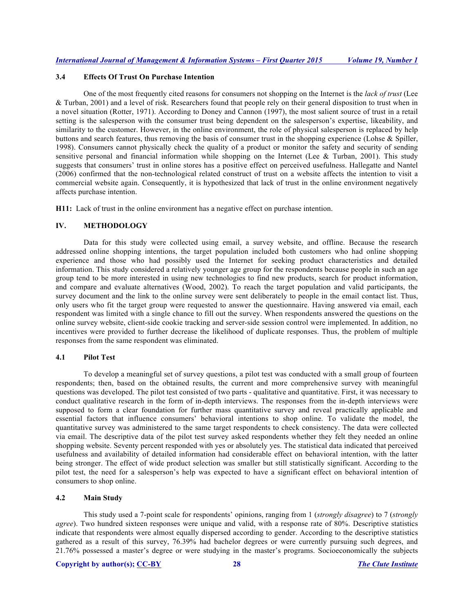## **3.4 Effects Of Trust On Purchase Intention**

One of the most frequently cited reasons for consumers not shopping on the Internet is the *lack of trust* (Lee & Turban, 2001) and a level of risk. Researchers found that people rely on their general disposition to trust when in a novel situation (Rotter, 1971). According to Doney and Cannon (1997), the most salient source of trust in a retail setting is the salesperson with the consumer trust being dependent on the salesperson's expertise, likeability, and similarity to the customer. However, in the online environment, the role of physical salesperson is replaced by help buttons and search features, thus removing the basis of consumer trust in the shopping experience (Lohse & Spiller, 1998). Consumers cannot physically check the quality of a product or monitor the safety and security of sending sensitive personal and financial information while shopping on the Internet (Lee & Turban, 2001). This study suggests that consumers' trust in online stores has a positive effect on perceived usefulness. Hallegatte and Nantel (2006) confirmed that the non-technological related construct of trust on a website affects the intention to visit a commercial website again. Consequently, it is hypothesized that lack of trust in the online environment negatively affects purchase intention.

**H11:** Lack of trust in the online environment has a negative effect on purchase intention.

## **IV. METHODOLOGY**

Data for this study were collected using email, a survey website, and offline. Because the research addressed online shopping intentions, the target population included both customers who had online shopping experience and those who had possibly used the Internet for seeking product characteristics and detailed information. This study considered a relatively younger age group for the respondents because people in such an age group tend to be more interested in using new technologies to find new products, search for product information, and compare and evaluate alternatives (Wood, 2002). To reach the target population and valid participants, the survey document and the link to the online survey were sent deliberately to people in the email contact list. Thus, only users who fit the target group were requested to answer the questionnaire. Having answered via email, each respondent was limited with a single chance to fill out the survey. When respondents answered the questions on the online survey website, client-side cookie tracking and server-side session control were implemented. In addition, no incentives were provided to further decrease the likelihood of duplicate responses. Thus, the problem of multiple responses from the same respondent was eliminated.

## **4.1 Pilot Test**

To develop a meaningful set of survey questions, a pilot test was conducted with a small group of fourteen respondents; then, based on the obtained results, the current and more comprehensive survey with meaningful questions was developed. The pilot test consisted of two parts - qualitative and quantitative. First, it was necessary to conduct qualitative research in the form of in-depth interviews. The responses from the in-depth interviews were supposed to form a clear foundation for further mass quantitative survey and reveal practically applicable and essential factors that influence consumers' behavioral intentions to shop online. To validate the model, the quantitative survey was administered to the same target respondents to check consistency. The data were collected via email. The descriptive data of the pilot test survey asked respondents whether they felt they needed an online shopping website. Seventy percent responded with yes or absolutely yes. The statistical data indicated that perceived usefulness and availability of detailed information had considerable effect on behavioral intention, with the latter being stronger. The effect of wide product selection was smaller but still statistically significant. According to the pilot test, the need for a salesperson's help was expected to have a significant effect on behavioral intention of consumers to shop online.

## **4.2 Main Study**

This study used a 7-point scale for respondents' opinions, ranging from 1 (*strongly disagree*) to 7 (*strongly agree*). Two hundred sixteen responses were unique and valid, with a response rate of 80%. Descriptive statistics indicate that respondents were almost equally dispersed according to gender. According to the descriptive statistics gathered as a result of this survey, 76.39% had bachelor degrees or were currently pursuing such degrees, and 21.76% possessed a master's degree or were studying in the master's programs. Socioeconomically the subjects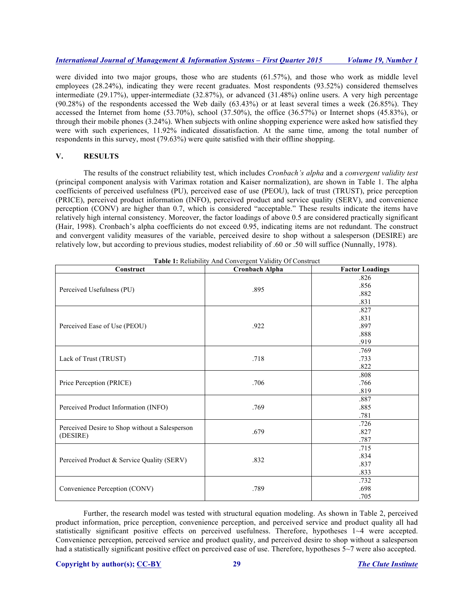were divided into two major groups, those who are students (61.57%), and those who work as middle level employees (28.24%), indicating they were recent graduates. Most respondents (93.52%) considered themselves intermediate (29.17%), upper-intermediate (32.87%), or advanced (31.48%) online users. A very high percentage (90.28%) of the respondents accessed the Web daily (63.43%) or at least several times a week (26.85%). They accessed the Internet from home (53.70%), school (37.50%), the office (36.57%) or Internet shops (45.83%), or through their mobile phones (3.24%). When subjects with online shopping experience were asked how satisfied they were with such experiences, 11.92% indicated dissatisfaction. At the same time, among the total number of respondents in this survey, most (79.63%) were quite satisfied with their offline shopping.

## **V. RESULTS**

The results of the construct reliability test, which includes *Cronbach's alpha* and a *convergent validity test* (principal component analysis with Varimax rotation and Kaiser normalization), are shown in Table 1. The alpha coefficients of perceived usefulness (PU), perceived ease of use (PEOU), lack of trust (TRUST), price perception (PRICE), perceived product information (INFO), perceived product and service quality (SERV), and convenience perception (CONV) are higher than 0.7, which is considered "acceptable." These results indicate the items have relatively high internal consistency. Moreover, the factor loadings of above 0.5 are considered practically significant (Hair, 1998). Cronbach's alpha coefficients do not exceed 0.95, indicating items are not redundant. The construct and convergent validity measures of the variable, perceived desire to shop without a salesperson (DESIRE) are relatively low, but according to previous studies, modest reliability of .60 or .50 will suffice (Nunnally, 1978).

| Construct                                      | <b>Table 1:</b> Reliability And Convergent Validity Of Construct<br><b>Cronbach Alpha</b> | <b>Factor Loadings</b> |
|------------------------------------------------|-------------------------------------------------------------------------------------------|------------------------|
|                                                |                                                                                           | .826                   |
|                                                |                                                                                           | .856                   |
| Perceived Usefulness (PU)                      | .895                                                                                      | .882                   |
|                                                |                                                                                           | .831                   |
|                                                |                                                                                           | .827                   |
|                                                |                                                                                           | .831                   |
| Perceived Ease of Use (PEOU)                   | .922                                                                                      | .897                   |
|                                                |                                                                                           | .888                   |
|                                                |                                                                                           | .919                   |
|                                                |                                                                                           | .769                   |
| Lack of Trust (TRUST)                          | .718                                                                                      | .733                   |
|                                                |                                                                                           | .822                   |
|                                                |                                                                                           | .808                   |
| Price Perception (PRICE)                       | .706                                                                                      | .766                   |
|                                                |                                                                                           | .819                   |
|                                                | .769                                                                                      | .887                   |
| Perceived Product Information (INFO)           |                                                                                           | .885                   |
|                                                |                                                                                           | .781                   |
|                                                |                                                                                           | .726                   |
| Perceived Desire to Shop without a Salesperson | .679                                                                                      | .827                   |
| (DESIRE)                                       |                                                                                           | .787                   |
|                                                |                                                                                           | .715                   |
|                                                |                                                                                           | .834                   |
| Perceived Product & Service Quality (SERV)     | .832                                                                                      | .837                   |
|                                                |                                                                                           | .833                   |
|                                                |                                                                                           | .732                   |
| Convenience Perception (CONV)                  | .789                                                                                      | .698                   |
|                                                |                                                                                           | .705                   |

Further, the research model was tested with structural equation modeling. As shown in Table 2, perceived product information, price perception, convenience perception, and perceived service and product quality all had statistically significant positive effects on perceived usefulness. Therefore, hypotheses 1~4 were accepted. Convenience perception, perceived service and product quality, and perceived desire to shop without a salesperson had a statistically significant positive effect on perceived ease of use. Therefore, hypotheses 5~7 were also accepted.

#### **Copyright by author(s); CC-BY 29** *The Clute Institute*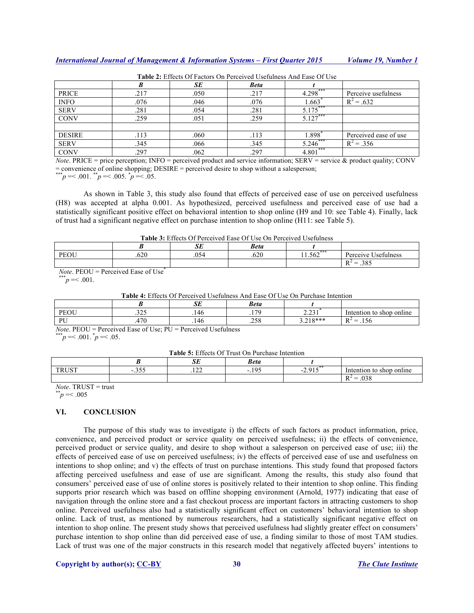|               |      | SE   | <b>Beta</b> |            |                       |
|---------------|------|------|-------------|------------|-----------------------|
| PRICE         | .217 | .050 | .217        | $4.298***$ | Perceive usefulness   |
| <b>INFO</b>   | .076 | .046 | .076        | 1.663      | $R^2 = .632$          |
| <b>SERV</b>   | .281 | .054 | .281        | 5.175      |                       |
| <b>CONV</b>   | 259  | .051 | .259        | $5.127***$ |                       |
|               |      |      |             |            |                       |
| <b>DESIRE</b> | .113 | .060 | .113        | 1.898      | Perceived ease of use |
| <b>SERV</b>   | .345 | .066 | .345        | 5.246      | $R^2 = .356$          |
| <b>CONV</b>   | 297  | .062 | .297        | $4.801***$ |                       |

**Table 2:** Effects Of Factors On Perceived Usefulness And Ease Of Use

*Note*. PRICE = price perception; INFO = perceived product and service information; SERV = service & product quality; CONV = convenience of online shopping; DESIRE = perceived desire to shop without a salesperson;

\*\*\**p* = < .001.  $p^* = 0.005$ .  $p^* = 0.05$ .

As shown in Table 3, this study also found that effects of perceived ease of use on perceived usefulness (H8) was accepted at alpha 0.001. As hypothesized, perceived usefulness and perceived ease of use had a statistically significant positive effect on behavioral intention to shop online (H9 and 10: see Table 4). Finally, lack of trust had a significant negative effect on purchase intention to shop online (H11: see Table 5).

| <b>Table 3:</b> Effects Of Perceived Ease Of Use On Perceived Usefulness |  |
|--------------------------------------------------------------------------|--|
|--------------------------------------------------------------------------|--|

|      |      | $\alpha$ r<br>ىرى     | <b>Beta</b> |       |                                                         |
|------|------|-----------------------|-------------|-------|---------------------------------------------------------|
| PEOU | .620 | $\sim$ $ \sim$<br>154 | .620        | L.362 | Jsefulness<br>Perceive                                  |
|      |      |                       |             |       | 20c<br>$R^2$<br>–<br>$\overline{\phantom{a}}$<br>ن ن ر. |

*Note*.  $\text{PEOU} = \text{Perceived}$  Ease of Use<sup>\*</sup>

 $\bar{p}$  =< .001.

**Table 4:** Effects Of Perceived Usefulness And Ease Of Use On Purchase Intention

|                      |              | n <del>n</del><br>ىرى | <b>Beta</b>          |                  |                                                                                                   |
|----------------------|--------------|-----------------------|----------------------|------------------|---------------------------------------------------------------------------------------------------|
| <b>DEALL</b><br>'EUU | 225<br>ر ے د | .146                  | 170<br>. .           | $\sim$<br>السند. | shop online<br>Intention to                                                                       |
| DI I                 | 170          | .146                  | $\sim$ $\sim$ $\sim$ | $710***$<br>---  | $\overline{\phantom{a}}$<br>$R^2$<br>$\overline{\phantom{0}}$<br>.150<br>$\overline{\phantom{a}}$ |

*Note*. PEOU = Perceived Ease of Use; PU = Perceived Usefulness

 $p^* = 0.001$ .  $p^* = 0.05$ .

**Table 5:** Effects Of Trust On Purchase Intention

| <b>Table 5:</b> Effects Of Trust Off Furchase intention |                                                  |                |                                  |                        |                          |
|---------------------------------------------------------|--------------------------------------------------|----------------|----------------------------------|------------------------|--------------------------|
|                                                         |                                                  | تند            | Beta                             |                        |                          |
| <b>TRUST</b>                                            | n <i>r r</i><br>$\overline{\phantom{0}}$<br>. ټا | $\sim$<br>.122 | .195<br>$\overline{\phantom{a}}$ | 2.915<br>$\sim$ $\sim$ | Intention to shop online |
|                                                         |                                                  |                |                                  |                        | .038<br>$R^2 =$          |

*Note*. TRUST = trust<br> $p^* = 0.005$ 

# **VI. CONCLUSION**

The purpose of this study was to investigate i) the effects of such factors as product information, price, convenience, and perceived product or service quality on perceived usefulness; ii) the effects of convenience, perceived product or service quality, and desire to shop without a salesperson on perceived ease of use; iii) the effects of perceived ease of use on perceived usefulness; iv) the effects of perceived ease of use and usefulness on intentions to shop online; and v) the effects of trust on purchase intentions. This study found that proposed factors affecting perceived usefulness and ease of use are significant. Among the results, this study also found that consumers' perceived ease of use of online stores is positively related to their intention to shop online. This finding supports prior research which was based on offline shopping environment (Arnold, 1977) indicating that ease of navigation through the online store and a fast checkout process are important factors in attracting customers to shop online. Perceived usefulness also had a statistically significant effect on customers' behavioral intention to shop online. Lack of trust, as mentioned by numerous researchers, had a statistically significant negative effect on intention to shop online. The present study shows that perceived usefulness had slightly greater effect on consumers' purchase intention to shop online than did perceived ease of use, a finding similar to those of most TAM studies. Lack of trust was one of the major constructs in this research model that negatively affected buyers' intentions to

#### **Copyright by author(s); CC-BY 30** *The Clute Institute*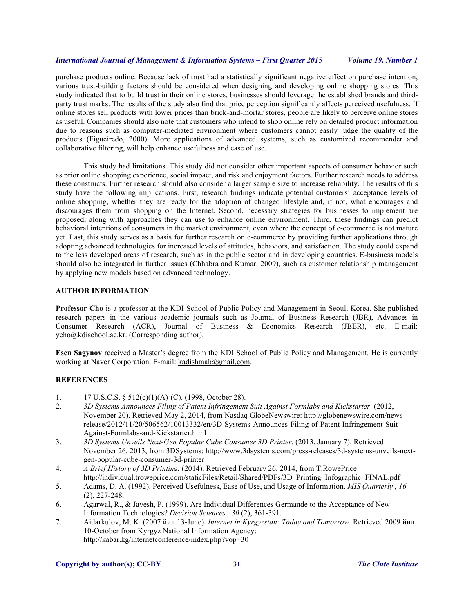purchase products online. Because lack of trust had a statistically significant negative effect on purchase intention, various trust-building factors should be considered when designing and developing online shopping stores. This study indicated that to build trust in their online stores, businesses should leverage the established brands and thirdparty trust marks. The results of the study also find that price perception significantly affects perceived usefulness. If online stores sell products with lower prices than brick-and-mortar stores, people are likely to perceive online stores as useful. Companies should also note that customers who intend to shop online rely on detailed product information due to reasons such as computer-mediated environment where customers cannot easily judge the quality of the products (Figueiredo, 2000). More applications of advanced systems, such as customized recommender and collaborative filtering, will help enhance usefulness and ease of use.

This study had limitations. This study did not consider other important aspects of consumer behavior such as prior online shopping experience, social impact, and risk and enjoyment factors. Further research needs to address these constructs. Further research should also consider a larger sample size to increase reliability. The results of this study have the following implications. First, research findings indicate potential customers' acceptance levels of online shopping, whether they are ready for the adoption of changed lifestyle and, if not, what encourages and discourages them from shopping on the Internet. Second, necessary strategies for businesses to implement are proposed, along with approaches they can use to enhance online environment. Third, these findings can predict behavioral intentions of consumers in the market environment, even where the concept of e-commerce is not mature yet. Last, this study serves as a basis for further research on e-commerce by providing further applications through adopting advanced technologies for increased levels of attitudes, behaviors, and satisfaction. The study could expand to the less developed areas of research, such as in the public sector and in developing countries. E-business models should also be integrated in further issues (Chhabra and Kumar, 2009), such as customer relationship management by applying new models based on advanced technology.

## **AUTHOR INFORMATION**

**Professor Cho** is a professor at the KDI School of Public Policy and Management in Seoul, Korea. She published research papers in the various academic journals such as Journal of Business Research (JBR), Advances in Consumer Research (ACR), Journal of Business & Economics Research (JBER), etc. E-mail: ycho@kdischool.ac.kr. (Corresponding author).

**Esen Sagynov** received a Master's degree from the KDI School of Public Policy and Management. He is currently working at Naver Corporation. E-mail: kadishmal@gmail.com.

## **REFERENCES**

- 1. 17 U.S.C.S. § 512(c)(1)(A)-(C). (1998, October 28).
- 2. *3D Systems Announces Filing of Patent Infringement Suit Against Formlabs and Kickstarter*. (2012, November 20). Retrieved May 2, 2014, from Nasdaq GlobeNewswire: http://globenewswire.com/newsrelease/2012/11/20/506562/10013332/en/3D-Systems-Announces-Filing-of-Patent-Infringement-Suit-Against-Formlabs-and-Kickstarter.html
- 3. *3D Systems Unveils Next-Gen Popular Cube Consumer 3D Printer*. (2013, January 7). Retrieved November 26, 2013, from 3DSystems: http://www.3dsystems.com/press-releases/3d-systems-unveils-nextgen-popular-cube-consumer-3d-printer
- 4. *A Brief History of 3D Printing.* (2014). Retrieved February 26, 2014, from T.RowePrice: http://individual.troweprice.com/staticFiles/Retail/Shared/PDFs/3D\_Printing\_Infographic\_FINAL.pdf
- 5. Adams, D. A. (1992). Perceived Usefulness, Ease of Use, and Usage of Information. *MIS Quarterly , 16* (2), 227-248.
- 6. Agarwal, R., & Jayesh, P. (1999). Are Individual Differences Germande to the Acceptance of New Information Technologies? *Decision Sciences , 30* (2), 361-391.
- 7. Aidarkulov, M. K. (2007 йил 13-June). *Internet in Kyrgyzstan: Today and Tomorrow*. Retrieved 2009 йил 10-October from Kyrgyz National Information Agency: http://kabar.kg/internetconference/index.php?vop=30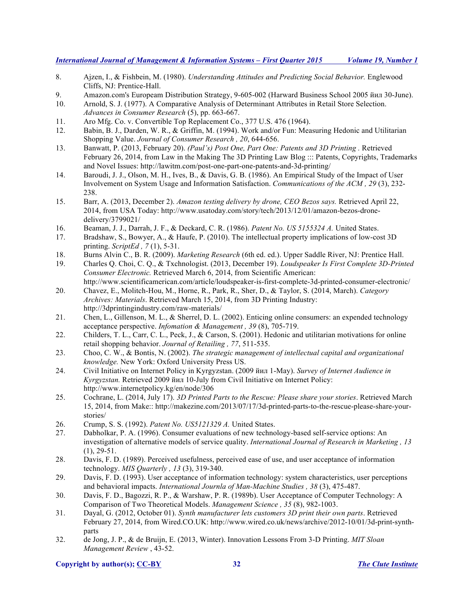- 8. Ajzen, I., & Fishbein, M. (1980). *Understanding Attitudes and Predicting Social Behavior.* Englewood Cliffs, NJ: Prentice-Hall.
- 9. Amazon.com's Europeam Distribution Strategy, 9-605-002 (Harward Business School 2005 йил 30-June).
- 10. Arnold, S. J. (1977). A Comparative Analysis of Determinant Attributes in Retail Store Selection. *Advances in Consumer Research* (5), pp. 663-667.
- 11. Aro Mfg. Co. v. Convertible Top Replacement Co., 377 U.S. 476 (1964).
- 12. Babin, B. J., Darden, W. R., & Griffin, M. (1994). Work and/or Fun: Measuring Hedonic and Utilitarian Shopping Value. *Journal of Consumer Research , 20*, 644-656.
- 13. Banwatt, P. (2013, February 20). *(Paul's) Post One, Part One: Patents and 3D Printing .* Retrieved February 26, 2014, from Law in the Making The 3D Printing Law Blog ::: Patents, Copyrights, Trademarks and Novel Issues: http://lawitm.com/post-one-part-one-patents-and-3d-printing/
- 14. Baroudi, J. J., Olson, M. H., Ives, B., & Davis, G. B. (1986). An Empirical Study of the Impact of User Involvement on System Usage and Information Satisfaction. *Communications of the ACM , 29* (3), 232- 238.
- 15. Barr, A. (2013, December 2). *Amazon testing delivery by drone, CEO Bezos says.* Retrieved April 22, 2014, from USA Today: http://www.usatoday.com/story/tech/2013/12/01/amazon-bezos-dronedelivery/3799021/
- 16. Beaman, J. J., Darrah, J. F., & Deckard, C. R. (1986). *Patent No. US 5155324 A.* United States.
- 17. Bradshaw, S., Bowyer, A., & Haufe, P. (2010). The intellectual property implications of low-cost 3D printing. *ScriptEd , 7* (1), 5-31.
- 18. Burns Alvin C., B. R. (2009). *Marketing Research* (6th ed. ed.). Upper Saddle River, NJ: Prentice Hall.
- 19. Charles Q. Choi, C. Q., & Txchnologist. (2013, December 19). *Loudspeaker Is First Complete 3D-Printed Consumer Electronic.* Retrieved March 6, 2014, from Scientific American: http://www.scientificamerican.com/article/loudspeaker-is-first-complete-3d-printed-consumer-electronic/
- 20. Chavez, E., Molitch-Hou, M., Horne, R., Park, R., Sher, D., & Taylor, S. (2014, March). *Category Archives: Materials*. Retrieved March 15, 2014, from 3D Printing Industry: http://3dprintingindustry.com/raw-materials/
- 21. Chen, L., Gillenson, M. L., & Sherrel, D. L. (2002). Enticing online consumers: an expended technology acceptance perspective. *Infomation & Management , 39* (8), 705-719.
- 22. Childers, T. L., Carr, C. L., Peck, J., & Carson, S. (2001). Hedonic and utilitarian motivations for online retail shopping behavior. *Journal of Retailing , 77*, 511-535.
- 23. Choo, C. W., & Bontis, N. (2002). *The strategic management of intellectual capital and organizational knowledge.* New York: Oxford University Press US.
- 24. Civil Initiative on Internet Policy in Kyrgyzstan. (2009 йил 1-May). *Survey of Internet Audience in Kyrgyzstan.* Retrieved 2009 йил 10-July from Civil Initiative on Internet Policy: http://www.internetpolicy.kg/en/node/306
- 25. Cochrane, L. (2014, July 17). *3D Printed Parts to the Rescue: Please share your stories*. Retrieved March 15, 2014, from Make:: http://makezine.com/2013/07/17/3d-printed-parts-to-the-rescue-please-share-yourstories/
- 26. Crump, S. S. (1992). *Patent No. US5121329 A.* United States.
- 27. Dabholkar, P. A. (1996). Consumer evaluations of new technology-based self-service options: An investigation of alternative models of service quality. *International Journal of Research in Marketing , 13*  $(1), 29-51.$
- 28. Davis, F. D. (1989). Perceived usefulness, perceived ease of use, and user acceptance of information technology. *MIS Quarterly , 13* (3), 319-340.
- 29. Davis, F. D. (1993). User acceptance of information technology: system characteristics, user perceptions and behavioral impacts. *International Journla of Man-Machine Studies , 38* (3), 475-487.
- 30. Davis, F. D., Bagozzi, R. P., & Warshaw, P. R. (1989b). User Acceptance of Computer Technology: A Comparison of Two Theoretical Models. *Management Science , 35* (8), 982-1003.
- 31. Dayal, G. (2012, October 01). *Synth manufacturer lets customers 3D print their own parts*. Retrieved February 27, 2014, from Wired.CO.UK: http://www.wired.co.uk/news/archive/2012-10/01/3d-print-synthparts
- 32. de Jong, J. P., & de Bruijn, E. (2013, Winter). Innovation Lessons From 3-D Printing. *MIT Sloan Management Review* , 43-52.

## **Copyright by author(s); CC-BY 32** *The Clute Institute*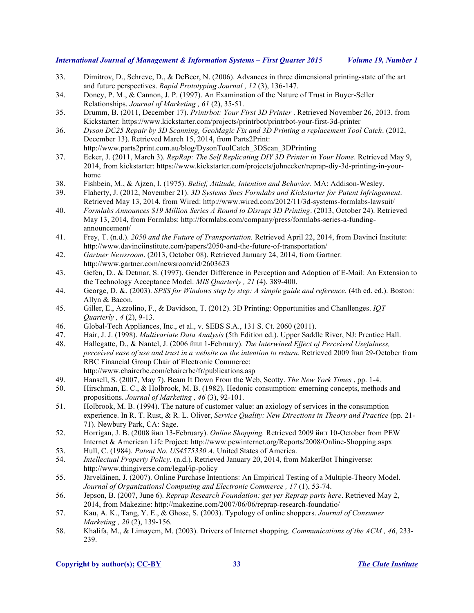- 33. Dimitrov, D., Schreve, D., & DeBeer, N. (2006). Advances in three dimensional printing-state of the art and future perspectives. *Rapid Prototyping Journal , 12* (3), 136-147.
- 34. Doney, P. M., & Cannon, J. P. (1997). An Examination of the Nature of Trust in Buyer-Seller Relationships. *Journal of Marketing , 61* (2), 35-51.
- 35. Drumm, B. (2011, December 17). *Printrbot: Your First 3D Printer* . Retrieved November 26, 2013, from Kickstarter: https://www.kickstarter.com/projects/printrbot/printrbot-your-first-3d-printer
- 36. *Dyson DC25 Repair by 3D Scanning, GeoMagic Fix and 3D Printing a replacement Tool Catch*. (2012, December 13). Retrieved March 15, 2014, from Parts2Print:
	- http://www.parts2print.com.au/blog/DysonToolCatch\_3DScan\_3DPrinting
- 37. Ecker, J. (2011, March 3). *RepRap: The Self Replicating DIY 3D Printer in Your Home*. Retrieved May 9, 2014, from kickstarter: https://www.kickstarter.com/projects/johnecker/reprap-diy-3d-printing-in-yourhome
- 38. Fishbein, M., & Ajzen, I. (1975). *Belief, Attitude, Intention and Behavior.* MA: Addison-Wesley.
- 39. Flaherty, J. (2012, November 21). *3D Systems Sues Formlabs and Kickstarter for Patent Infringement*. Retrieved May 13, 2014, from Wired: http://www.wired.com/2012/11/3d-systems-formlabs-lawsuit/
- 40. *Formlabs Announces \$19 Million Series A Round to Disrupt 3D Printing*. (2013, October 24). Retrieved May 13, 2014, from Formlabs: http://formlabs.com/company/press/formlabs-series-a-fundingannouncement/
- 41. Frey, T. (n.d.). *2050 and the Future of Transportation.* Retrieved April 22, 2014, from Davinci Institute: http://www.davinciinstitute.com/papers/2050-and-the-future-of-transportation/
- 42. *Gartner Newsroom*. (2013, October 08). Retrieved January 24, 2014, from Gartner: http://www.gartner.com/newsroom/id/2603623
- 43. Gefen, D., & Detmar, S. (1997). Gender Difference in Perception and Adoption of E-Mail: An Extension to the Technology Acceptance Model. *MIS Quarterly , 21* (4), 389-400.
- 44. George, D. &. (2003). *SPSS for Windows step by step: A simple guide and reference.* (4th ed. ed.). Boston: Allyn & Bacon.
- 45. Giller, E., Azzolino, F., & Davidson, T. (2012). 3D Printing: Opportunities and Chanllenges. *IQT Quarterly , 4* (2), 9-13.
- 46. Global-Tech Appliances, Inc., et al., v. SEBS S.A., 131 S. Ct. 2060 (2011).
- 47. Hair, J. J. (1998). *Multivariate Data Analysis* (5th Edition ed.). Upper Saddle River, NJ: Prentice Hall.
- 48. Hallegatte, D., & Nantel, J. (2006 йил 1-February). *The Interwined Effect of Perceived Usefulness, perceived ease of use and trust in a website on the intention to return.* Retrieved 2009 йил 29-October from RBC Financial Group Chair of Electronic Commerce: http://www.chairerbc.com/chairerbc/fr/publications.asp
- 49. Hansell, S. (2007, May 7). Beam It Down From the Web, Scotty. *The New York Times* , pp. 1-4.
- 50. Hirschman, E. C., & Holbrook, M. B. (1982). Hedonic consumption: emerning concepts, methods and propositions. *Journal of Marketing , 46* (3), 92-101.
- 51. Holbrook, M. B. (1994). The nature of customer value: an axiology of services in the consumption experience. In R. T. Rust, & R. L. Oliver, *Service Quality: New Directions in Theory and Practice* (pp. 21- 71). Newbury Park, CA: Sage.
- 52. Horrigan, J. B. (2008 йил 13-February). *Online Shopping.* Retrieved 2009 йил 10-October from PEW Internet & American Life Project: http://www.pewinternet.org/Reports/2008/Online-Shopping.aspx
- 53. Hull, C. (1984). *Patent No. US4575330 A.* United States of America.
- 54. *Intellectual Property Policy.* (n.d.). Retrieved January 20, 2014, from MakerBot Thingiverse: http://www.thingiverse.com/legal/ip-policy
- 55. Järveläinen, J. (2007). Online Purchase Intentions: An Empirical Testing of a Multiple-Theory Model. *Journal of Organizationsl Computing and Electronic Commerce , 17* (1), 53-74.
- 56. Jepson, B. (2007, June 6). *Reprap Research Foundation: get yer Reprap parts here*. Retrieved May 2, 2014, from Makezine: http://makezine.com/2007/06/06/reprap-research-foundatio/
- 57. Kau, A. K., Tang, Y. E., & Ghose, S. (2003). Typology of online shoppers. *Journal of Consumer Marketing , 20* (2), 139-156.
- 58. Khalifa, M., & Limayem, M. (2003). Drivers of Internet shopping. *Communications of the ACM , 46*, 233- 239.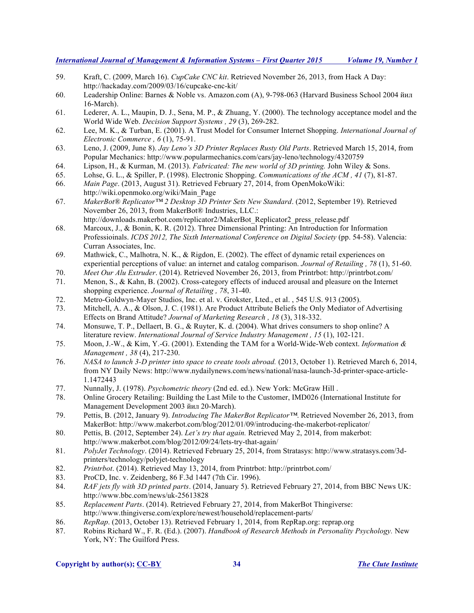- 59. Kraft, C. (2009, March 16). *CupCake CNC kit*. Retrieved November 26, 2013, from Hack A Day: http://hackaday.com/2009/03/16/cupcake-cnc-kit/
- 60. Leadership Online: Barnes & Noble vs. Amazon.com (A), 9-798-063 (Harvard Business School 2004 йил 16-March).
- 61. Lederer, A. L., Maupin, D. J., Sena, M. P., & Zhuang, Y. (2000). The technology acceptance model and the World Wide Web. *Decision Support Systems , 29* (3), 269-282.
- 62. Lee, M. K., & Turban, E. (2001). A Trust Model for Consumer Internet Shopping. *International Journal of Electronic Commerce , 6* (1), 75-91.
- 63. Leno, J. (2009, June 8). *Jay Leno's 3D Printer Replaces Rusty Old Parts*. Retrieved March 15, 2014, from Popular Mechanics: http://www.popularmechanics.com/cars/jay-leno/technology/4320759
- 64. Lipson, H., & Kurman, M. (2013). *Fabricated: The new world of 3D printing.* John Wiley & Sons.
- 65. Lohse, G. L., & Spiller, P. (1998). Electronic Shopping. *Communications of the ACM , 41* (7), 81-87.
- 66. *Main Page*. (2013, August 31). Retrieved February 27, 2014, from OpenMokoWiki: http://wiki.openmoko.org/wiki/Main\_Page
- 67. *MakerBot® Replicator™ 2 Desktop 3D Printer Sets New Standard*. (2012, September 19). Retrieved November 26, 2013, from MakerBot® Industries, LLC.: http://downloads.makerbot.com/replicator2/MakerBot\_Replicator2\_press\_release.pdf
- 68. Marcoux, J., & Bonin, K. R. (2012). Three Dimensional Printing: An Introduction for Information Professioinals. *ICDS 2012, The Sixth International Conference on Digital Society* (pp. 54-58). Valencia: Curran Associates, Inc.
- 69. Mathwick, C., Malhotra, N. K., & Rigdon, E. (2002). The effect of dynamic retail experiences on experiential perceptions of value: an internet and catalog comparison. *Journal of Retailing , 78* (1), 51-60.
- 70. *Meet Our Alu Extruder*. (2014). Retrieved November 26, 2013, from Printrbot: http://printrbot.com/
- 71. Menon, S., & Kahn, B. (2002). Cross-category effects of induced arousal and pleasure on the Internet shopping experience. *Journal of Retailing , 78*, 31-40.
- 72. Metro-Goldwyn-Mayer Studios, Inc. et al. v. Grokster, Lted., et al. , 545 U.S. 913 (2005).
- 73. Mitchell, A. A., & Olson, J. C. (1981). Are Product Attribute Beliefs the Only Mediator of Advertising Effects on Brand Attitude? *Journal of Marketing Research , 18* (3), 318-332.
- 74. Monsuwe, T. P., Dellaert, B. G., & Ruyter, K. d. (2004). What drives consumers to shop online? A literature review. *International Journal of Service Industry Management , 15* (1), 102-121.
- 75. Moon, J.-W., & Kim, Y.-G. (2001). Extending the TAM for a World-Wide-Web context. *Information & Management , 38* (4), 217-230.
- 76. *NASA to launch 3-D printer into space to create tools abroad.* (2013, October 1). Retrieved March 6, 2014, from NY Daily News: http://www.nydailynews.com/news/national/nasa-launch-3d-printer-space-article-1.1472443
- 77. Nunnally, J. (1978). *Psychometric theory* (2nd ed. ed.). New York: McGraw Hill .
- 78. Online Grocery Retailing: Building the Last Mile to the Customer, IMD026 (International Institute for Management Development 2003 йил 20-March).
- 79. Pettis, B. (2012, January 9). *Introducing The MakerBot Replicator™*. Retrieved November 26, 2013, from MakerBot: http://www.makerbot.com/blog/2012/01/09/introducing-the-makerbot-replicator/
- 80. Pettis, B. (2012, September 24). *Let's try that again.* Retrieved May 2, 2014, from makerbot: http://www.makerbot.com/blog/2012/09/24/lets-try-that-again/
- 81. *PolyJet Technology*. (2014). Retrieved February 25, 2014, from Stratasys: http://www.stratasys.com/3dprinters/technology/polyjet-technology
- 82. *Printrbot*. (2014). Retrieved May 13, 2014, from Printrbot: http://printrbot.com/
- 83. ProCD, Inc. v. Zeidenberg, 86 F.3d 1447 (7th Cir. 1996).
- 84. *RAF jets fly with 3D printed parts*. (2014, January 5). Retrieved February 27, 2014, from BBC News UK: http://www.bbc.com/news/uk-25613828
- 85. *Replacement Parts*. (2014). Retrieved February 27, 2014, from MakerBot Thingiverse: http://www.thingiverse.com/explore/newest/household/replacement-parts/
- 86. *RepRap*. (2013, October 13). Retrieved February 1, 2014, from RepRap.org: reprap.org
- 87. Robins Richard W., F. R. (Ed.). (2007). *Handbook of Research Methods in Personality Psychology.* New York, NY: The Guilford Press.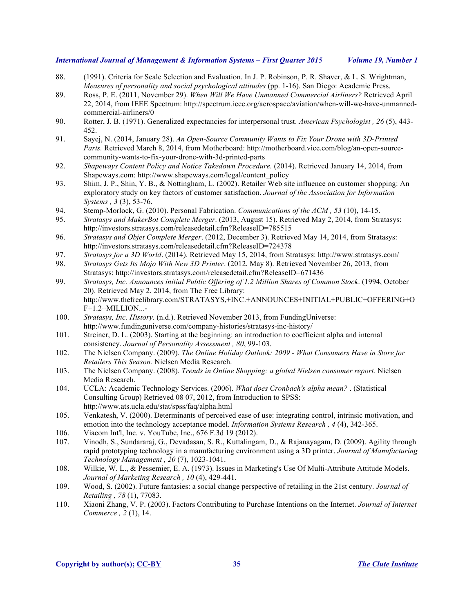- 88. (1991). Criteria for Scale Selection and Evaluation. In J. P. Robinson, P. R. Shaver, & L. S. Wrightman, *Measures of personality and social psychological attitudes* (pp. 1-16). San Diego: Academic Press.
- 89. Ross, P. E. (2011, November 29). *When Will We Have Unmanned Commercial Airliners?* Retrieved April 22, 2014, from IEEE Spectrum: http://spectrum.ieee.org/aerospace/aviation/when-will-we-have-unmannedcommercial-airliners/0
- 90. Rotter, J. B. (1971). Generalized expectancies for interpersonal trust. *American Psychologist , 26* (5), 443- 452.
- 91. Sayej, N. (2014, January 28). *An Open-Source Community Wants to Fix Your Drone with 3D-Printed*  Parts. Retrieved March 8, 2014, from Motherboard: http://motherboard.vice.com/blog/an-open-sourcecommunity-wants-to-fix-your-drone-with-3d-printed-parts
- 92. *Shapeways Content Policy and Notice Takedown Procedure.* (2014). Retrieved January 14, 2014, from Shapeways.com: http://www.shapeways.com/legal/content\_policy
- 93. Shim, J. P., Shin, Y. B., & Nottingham, L. (2002). Retailer Web site influence on customer shopping: An exploratory study on key factors of customer satisfaction. *Journal of the Association for Information Systems , 3* (3), 53-76.
- 94. Stemp-Morlock, G. (2010). Personal Fabrication. *Communications of the ACM , 53* (10), 14-15.
- 95. *Stratasys and MakerBot Complete Merger*. (2013, August 15). Retrieved May 2, 2014, from Stratasys: http://investors.stratasys.com/releasedetail.cfm?ReleaseID=785515
- 96. *Stratasys and Objet Complete Merger*. (2012, December 3). Retrieved May 14, 2014, from Stratasys: http://investors.stratasys.com/releasedetail.cfm?ReleaseID=724378
- 97. *Stratasys for a 3D World*. (2014). Retrieved May 15, 2014, from Stratasys: http://www.stratasys.com/
- 98. *Stratasys Gets Its Mojo With New 3D Printer*. (2012, May 8). Retrieved November 26, 2013, from Stratasys: http://investors.stratasys.com/releasedetail.cfm?ReleaseID=671436
- 99. *Stratasys, Inc. Announces initial Public Offering of 1.2 Million Shares of Common Stock*. (1994, October 20). Retrieved May 2, 2014, from The Free Library: http://www.thefreelibrary.com/STRATASYS,+INC.+ANNOUNCES+INITIAL+PUBLIC+OFFERING+O F+1.2+MILLION...-
- 100. *Stratasys, Inc. History*. (n.d.). Retrieved November 2013, from FundingUniverse: http://www.fundinguniverse.com/company-histories/stratasys-inc-history/
- 101. Streiner, D. L. (2003). Starting at the beginning: an introduction to coefficient alpha and internal consistency. *Journal of Personality Assessment , 80*, 99-103.
- 102. The Nielsen Company. (2009). *The Online Holiday Outlook: 2009 - What Consumers Have in Store for Retailers This Season.* Nielsen Media Research.
- 103. The Nielsen Company. (2008). *Trends in Online Shopping: a global Nielsen consumer report.* Nielsen Media Research.
- 104. UCLA: Academic Technology Services. (2006). *What does Cronbach's alpha mean?* . (Statistical Consulting Group) Retrieved 08 07, 2012, from Introduction to SPSS: http://www.ats.ucla.edu/stat/spss/faq/alpha.html
- 105. Venkatesh, V. (2000). Determinants of perceived ease of use: integrating control, intrinsic motivation, and emotion into the technology acceptance model. *Information Systems Research , 4* (4), 342-365.
- 106. Viacom Int'l, Inc. v. YouTube, Inc., 676 F.3d 19 (2012).
- 107. Vinodh, S., Sundararaj, G., Devadasan, S. R., Kuttalingam, D., & Rajanayagam, D. (2009). Agility through rapid prototyping technology in a manufacturing environment using a 3D printer. *Journal of Manufacturing Technology Management , 20* (7), 1023-1041.
- 108. Wilkie, W. L., & Pessemier, E. A. (1973). Issues in Marketing's Use Of Multi-Attribute Attitude Models. *Journal of Marketing Research , 10* (4), 429-441.
- 109. Wood, S. (2002). Future fantasies: a social change perspective of retailing in the 21st century. *Journal of Retailing , 78* (1), 77083.
- 110. Xiaoni Zhang, V. P. (2003). Factors Contributing to Purchase Intentions on the Internet. *Journal of Internet Commerce , 2* (1), 14.